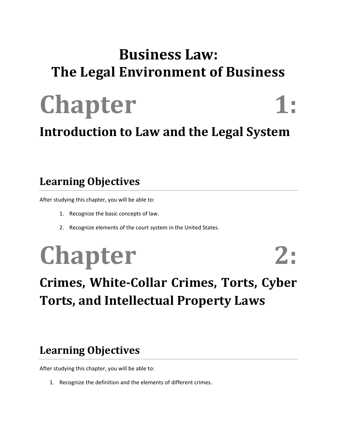### **Business Law: The Legal Environment of Business**



#### **Introduction to Law and the Legal System**

#### **Learning Objectives**

After studying this chapter, you will be able to:

- 1. Recognize the basic concepts of law.
- 2. Recognize elements of the court system in the United States.

# **Chapter 2:**

### **Crimes, White-Collar Crimes, Torts, Cyber Torts, and Intellectual Property Laws**

#### **Learning Objectives**

After studying this chapter, you will be able to:

1. Recognize the definition and the elements of different crimes.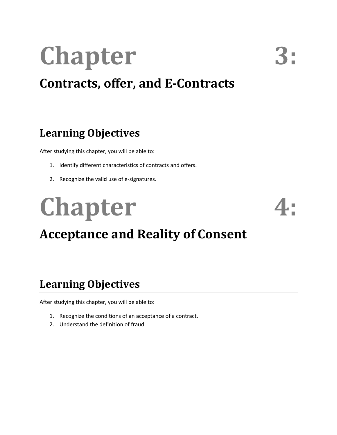# **Chapter 3:**

#### **Contracts, offer, and E-Contracts**

#### **Learning Objectives**

After studying this chapter, you will be able to:

- 1. Identify different characteristics of contracts and offers.
- 2. Recognize the valid use of e-signatures.

# **Chapter**



### **Acceptance and Reality of Consent**

#### **Learning Objectives**

- 1. Recognize the conditions of an acceptance of a contract.
- 2. Understand the definition of fraud.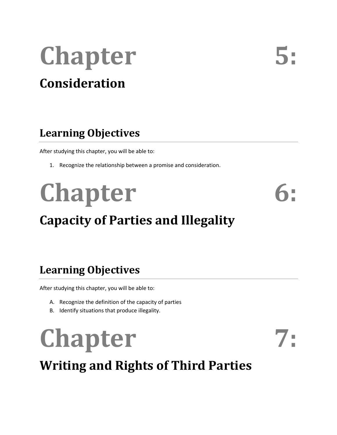## **Chapter Consideration**

#### **Learning Objectives**

After studying this chapter, you will be able to:

1. Recognize the relationship between a promise and consideration.

# Chapter 6:

### **Capacity of Parties and Illegality**

#### **Learning Objectives**

After studying this chapter, you will be able to:

- A. Recognize the definition of the capacity of parties
- B. Identify situations that produce illegality.

# Chapter 7:

**Writing and Rights of Third Parties**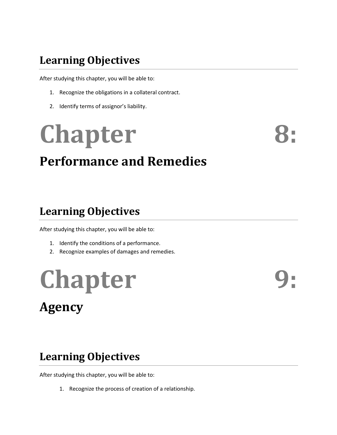After studying this chapter, you will be able to:

- 1. Recognize the obligations in a collateral contract.
- 2. Identify terms of assignor's liability.

## **Chapter Performance and Remedies**

#### **Learning Objectives**

After studying this chapter, you will be able to:

- 1. Identify the conditions of a performance.
- 2. Recognize examples of damages and remedies.

# **Chapter Agency**

#### **Learning Objectives**

After studying this chapter, you will be able to:

1. Recognize the process of creation of a relationship.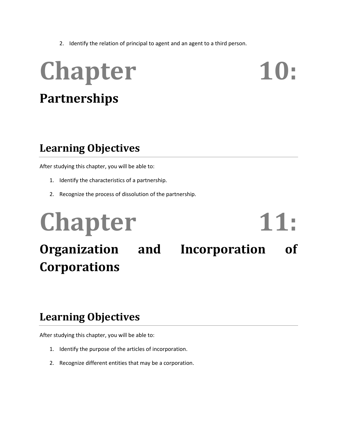2. Identify the relation of principal to agent and an agent to a third person.

## Chapter 10: **Partnerships**

#### **Learning Objectives**

After studying this chapter, you will be able to:

- 1. Identify the characteristics of a partnership.
- 2. Recognize the process of dissolution of the partnership.

## Chapter 11: **Organization and Incorporation of Corporations**

#### **Learning Objectives**

- 1. Identify the purpose of the articles of incorporation.
- 2. Recognize different entities that may be a corporation.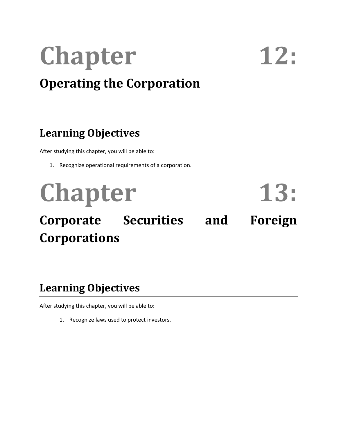## **Chapter 12: Operating the Corporation**

#### **Learning Objectives**

After studying this chapter, you will be able to:

1. Recognize operational requirements of a corporation.

Chapter 13: **Corporate Securities and Foreign** 

#### **Learning Objectives**

**Corporations**

After studying this chapter, you will be able to:

1. Recognize laws used to protect investors.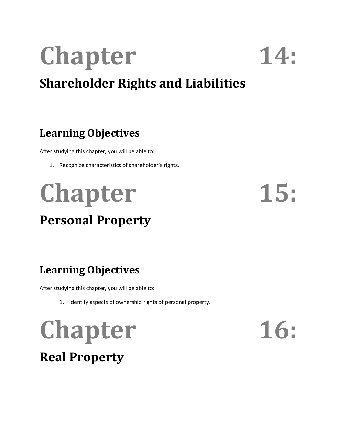# **Chapter 14:**

### **Shareholder Rights and Liabilities**

#### **Learning Objectives**

After studying this chapter, you will be able to:

1. Recognize characteristics of shareholder's rights.

## **Chapter 15: Personal Property**

### **Learning Objectives**

After studying this chapter, you will be able to:

1. Identify aspects of ownership rights of personal property.

# Chapter 16:

### **Real Property**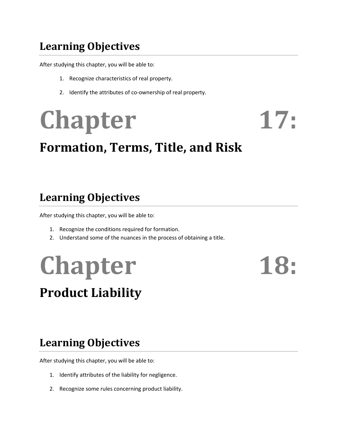After studying this chapter, you will be able to:

- 1. Recognize characteristics of real property.
- 2. Identify the attributes of co-ownership of real property.

# Chapter 17:

### **Formation, Terms, Title, and Risk**

#### **Learning Objectives**

After studying this chapter, you will be able to:

- 1. Recognize the conditions required for formation.
- 2. Understand some of the nuances in the process of obtaining a title.

## **Chapter 18: Product Liability**

#### **Learning Objectives**

- 1. Identify attributes of the liability for negligence.
- 2. Recognize some rules concerning product liability.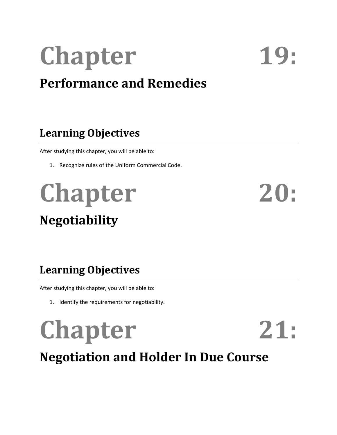# Chapter 19:

### **Performance and Remedies**

#### **Learning Objectives**

After studying this chapter, you will be able to:

1. Recognize rules of the Uniform Commercial Code.

## Chapter 20: **Negotiability**

#### **Learning Objectives**

After studying this chapter, you will be able to:

1. Identify the requirements for negotiability.

# **Chapter 21:**

**Negotiation and Holder In Due Course**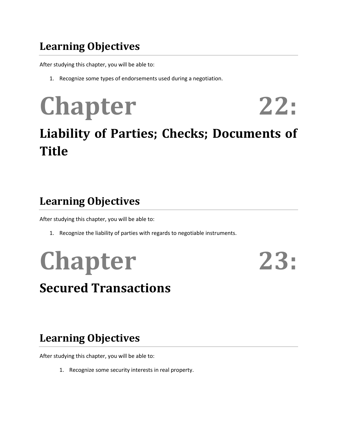After studying this chapter, you will be able to:

1. Recognize some types of endorsements used during a negotiation.

# **Chapter 22:**

### **Liability of Parties; Checks; Documents of Title**

#### **Learning Objectives**

After studying this chapter, you will be able to:

1. Recognize the liability of parties with regards to negotiable instruments.

## **Chapter 23: Secured Transactions**

#### **Learning Objectives**

After studying this chapter, you will be able to:

1. Recognize some security interests in real property.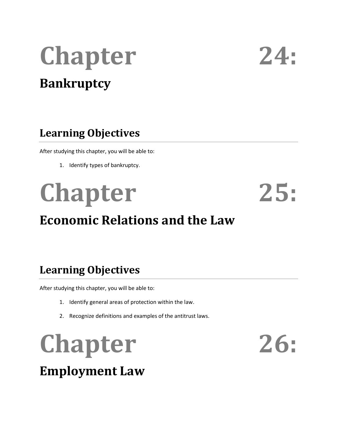## **Chapter 24: Bankruptcy**

#### **Learning Objectives**

After studying this chapter, you will be able to:

1. Identify types of bankruptcy.

## **Chapter 25: Economic Relations and the Law**

#### **Learning Objectives**

After studying this chapter, you will be able to:

- 1. Identify general areas of protection within the law.
- 2. Recognize definitions and examples of the antitrust laws.

**Chapter 26: Employment Law**